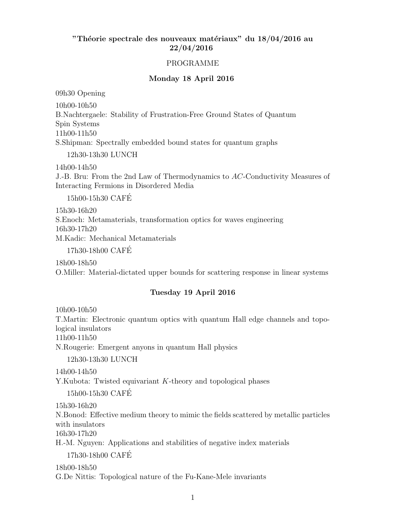# "Théorie spectrale des nouveaux matériaux" du  $18/04/2016$  au 22/04/2016

### PROGRAMME

### Monday 18 April 2016

09h30 Opening

10h00-10h50

B.Nachtergaele: Stability of Frustration-Free Ground States of Quantum

Spin Systems 11h00-11h50

S.Shipman: Spectrally embedded bound states for quantum graphs

12h30-13h30 LUNCH

14h00-14h50

J.-B. Bru: From the 2nd Law of Thermodynamics to AC-Conductivity Measures of Interacting Fermions in Disordered Media

15h00-15h30 CAFE´

15h30-16h20 S.Enoch: Metamaterials, transformation optics for waves engineering 16h30-17h20 M.Kadic: Mechanical Metamaterials 17h30-18h00 CAFE´

18h00-18h50 O.Miller: Material-dictated upper bounds for scattering response in linear systems

## Tuesday 19 April 2016

10h00-10h50 T.Martin: Electronic quantum optics with quantum Hall edge channels and topological insulators 11h00-11h50 N.Rougerie: Emergent anyons in quantum Hall physics

12h30-13h30 LUNCH

14h00-14h50 Y.Kubota: Twisted equivariant K-theory and topological phases

15h00-15h30 CAFE´

15h30-16h20

N.Bonod: Effective medium theory to mimic the fields scattered by metallic particles with insulators 16h30-17h20

H.-M. Nguyen: Applications and stabilities of negative index materials

17h30-18h00 CAFE´

18h00-18h50 G.De Nittis: Topological nature of the Fu-Kane-Mele invariants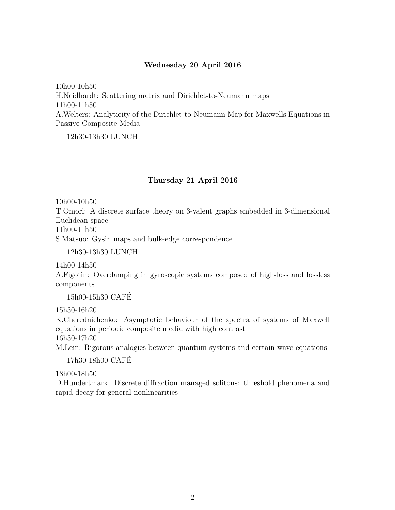### Wednesday 20 April 2016

10h00-10h50 H.Neidhardt: Scattering matrix and Dirichlet-to-Neumann maps 11h00-11h50 A.Welters: Analyticity of the Dirichlet-to-Neumann Map for Maxwells Equations in Passive Composite Media

12h30-13h30 LUNCH

#### Thursday 21 April 2016

10h00-10h50

T.Omori: A discrete surface theory on 3-valent graphs embedded in 3-dimensional Euclidean space

11h00-11h50

S.Matsuo: Gysin maps and bulk-edge correspondence

12h30-13h30 LUNCH

14h00-14h50

A.Figotin: Overdamping in gyroscopic systems composed of high-loss and lossless components

15h00-15h30 CAFE´

15h30-16h20

K.Cherednichenko: Asymptotic behaviour of the spectra of systems of Maxwell equations in periodic composite media with high contrast 16h30-17h20

M.Lein: Rigorous analogies between quantum systems and certain wave equations

17h30-18h00 CAFE´

18h00-18h50

D.Hundertmark: Discrete diffraction managed solitons: threshold phenomena and rapid decay for general nonlinearities